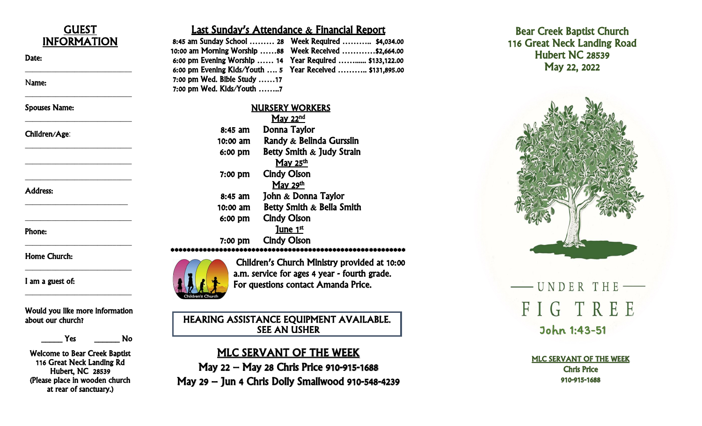

 $\overline{a}$ 

 $\frac{1}{2}$  , which is the set of the set of the set of the set of the set of the set of the set of the set of the set of the set of the set of the set of the set of the set of the set of the set of the set of the set of th

\_\_\_\_\_\_\_\_\_\_\_\_\_\_\_\_\_\_\_\_\_\_\_\_\_\_\_\_

\_\_\_\_\_\_\_\_\_\_\_\_\_\_\_\_\_\_\_\_\_\_\_\_\_\_\_\_

\_\_\_\_\_\_\_\_\_\_\_\_\_\_\_\_\_\_\_\_\_\_\_\_\_\_\_\_

\_\_\_\_\_\_\_\_\_\_\_\_\_\_\_\_\_\_\_\_\_\_\_\_\_\_\_\_

\_\_\_\_\_\_\_\_\_\_\_\_\_\_\_\_\_\_\_\_\_\_\_\_\_\_\_\_

\_\_\_\_\_\_\_\_\_\_\_\_\_\_\_\_\_\_\_\_\_\_\_\_\_\_\_

\_\_\_\_\_\_\_\_\_\_\_\_\_\_\_\_\_\_\_\_\_\_\_\_\_\_\_\_

\_\_\_\_\_\_\_\_\_\_\_\_\_\_\_\_\_\_\_\_\_\_\_\_\_\_\_\_

\_\_\_\_\_\_\_\_\_\_\_\_\_\_\_\_\_\_\_\_\_\_\_\_\_\_\_\_

\_\_\_\_\_\_\_\_\_\_\_\_\_\_\_\_\_\_\_\_\_\_\_\_\_\_\_\_

Date:

Name:

Spouses Name:

#### Children/Age:

Address:

Phone:

Home Church:

I am a guest of:

Would you like more information about our church?

Yes No

Welcome to Bear Creek Baptist 116 Great Neck Landing Rd Hubert, NC 28539 (Please place in wooden church at rear of sanctuary.)

### Last Sunday's Attendance & Financial Report

|                             | 8:45 am Sunday School  28 Week Required  \$4,034.00       |
|-----------------------------|-----------------------------------------------------------|
|                             | 10:00 am Morning Worship 88 Week Received  \$2,664.00     |
|                             | 6:00 pm Evening Worship  14 Year Required  \$133,122.00   |
|                             | 6:00 pm Evening Kids/Youth  5 Year Received  \$131,895.00 |
| 7:00 pm Wed. Bible Study 17 |                                                           |
| 7:00 pm Wed. Kids/Youth     |                                                           |

|           | <b>NURSERY WORKERS</b>    |
|-----------|---------------------------|
|           | May 22 <sup>nd</sup>      |
| $8:45$ am | Donna Taylor              |
| 10:00 am  | Randy & Belinda Gursslin  |
| 6:00 pm   | Betty Smith & Judy Strain |
|           | May 25 <sup>th</sup>      |
| $7:00$ pm | <b>Cindy Olson</b>        |
|           | May 29 <sup>th</sup>      |
| 8:45 am   | John & Donna Taylor       |
| 10:00 am  | Betty Smith & Bella Smith |
| 6:00 pm   | <b>Cindy Olson</b>        |
|           | <u>June 1st</u>           |
| 7:00 pm   | <b>Cindy Olson</b>        |
|           |                           |



Children's Church Ministry provided at 10:00 a.m. service for ages 4 year - fourth grade. For questions contact Amanda Price.

HEARING ASSISTANCE EQUIPMENT AVAILABLE. SEE AN USHER

### MLC SERVANT OF THE WEEK

May 22 – May 28 Chris Price 910 -915 -1688 May 29 – Jun 4 Chris Dolly Smallwood 910 -548 -4239





John 1:43 -51

MLC SERVANT OF THE WEEK Chris Price 910 -915 -1688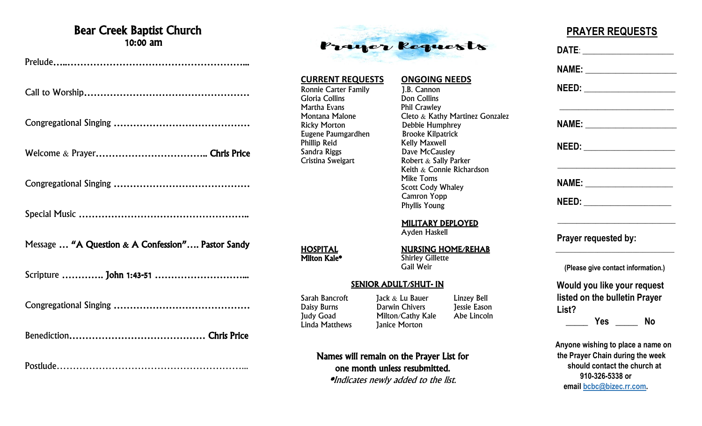### Bear Creek Baptist Church 10:00 am

Prelude…..………………………………………………...

Call to Worship……………………………………………

Congregational Singing ……………………………………

Welcome & Prayer…………………………….. Chris Price

Congregational Singing ……………………………………

Special Music ……………………………………………..

Message … "A Question & A Confession"…. Pastor Sandy

Scripture …………. John 1:43-51 ………………………...

Congregational Singing ……………………………………

Benediction…………………………………… Chris Price

Postlude…………………………………………………...



**CURRENT REQUESTS ONGOING NEEDS** Ronnie Carter Family [J.B. Cannon<br>Gloria Collins [Don Collins] Gloria Collins<br>Martha Evans Martha Evans<br>
Montana Malone **Phil Crawley**<br>
Cleto & Kath Montana Malone Cleto & Kathy Martinez Gonzalez<br>Ricky Morton Debbie Humphrey Eugene Paumgardhen<br>Phillip Reid Phillip Reid<br>
Sandra Riggs
Sandra Riggs
Sandra Riggs
Sandra Riggs
Sandra Riggs
Sandra Riggs
Sandra Riggs
Sandra Riggs
Sandra Riggs
Sandra Riggs
Sandra Riggs
Sandra Riggs
Sandra Riggs
Sandra Riggs
Sandra Riggs
Sandra Riggs Cristina Sweigart **Robert & Sally Parker** 

Debbie Humphrey<br>Brooke Kilpatrick Dave McCausley Keith & Connie Richardson Mike Toms Scott Cody Whaley Camron Yopp Phyllis Young

MILITARY DEPLOYED

Ayden Haskell

## **HOSPITAL**<br> **MURSING HOME/REHAB**<br>
Milton Kale\* Shirley Gillette

**Shirley Gillette** Gail Weir

#### SENIOR ADULT/SHUT- IN

**Janice Morton** 

Sarah Bancroft Jack & Lu Bauer Linzey Bell<br>
Daisy Burns Darwin Chivers Jessie Easor Darwin Chivers **Darwin Chivers** Jessie Eason Judy Goad Milton/Cathy Kale Abe Lincoln<br>Linda Matthews Ianice Morton

### Names will remain on the Prayer List for one month unless resubmitted.

\*Indicates newly added to the list.

## **PRAYER REQUESTS**

 **DATE**: \_\_\_\_\_\_\_\_\_\_\_\_\_\_\_\_\_\_\_\_\_\_\_\_  **NAME:** \_\_\_\_\_\_\_\_\_\_\_\_\_\_\_\_\_\_\_\_\_\_\_\_  **NEED:** \_\_\_\_\_\_\_\_\_\_\_\_\_\_\_\_\_\_\_\_\_\_\_\_  $\overline{\phantom{a}}$  , which is a set of the set of the set of the set of the set of the set of the set of the set of the set of the set of the set of the set of the set of the set of the set of the set of the set of the set of th  **NAME:** \_\_\_\_\_\_\_\_\_\_\_\_\_\_\_\_\_\_\_\_\_\_\_\_  **NEED:** \_\_\_\_\_\_\_\_\_\_\_\_\_\_\_\_\_\_\_\_\_\_\_\_ \_\_\_\_\_\_\_\_\_\_\_\_\_\_\_\_\_\_\_\_\_\_\_\_\_\_\_\_\_\_\_  **NAME:** \_\_\_\_\_\_\_\_\_\_\_\_\_\_\_\_\_\_\_\_\_\_\_  **NEED:** \_\_\_\_\_\_\_\_\_\_\_\_\_\_\_\_\_\_\_\_\_\_\_ \_\_\_\_\_\_\_\_\_\_\_\_\_\_\_\_\_\_\_\_\_\_\_\_\_\_\_\_\_\_\_  **Prayer requested by:**  $\frac{1}{2}$  ,  $\frac{1}{2}$  ,  $\frac{1}{2}$  ,  $\frac{1}{2}$  ,  $\frac{1}{2}$  ,  $\frac{1}{2}$  ,  $\frac{1}{2}$  ,  $\frac{1}{2}$  ,  $\frac{1}{2}$  ,  $\frac{1}{2}$  ,  $\frac{1}{2}$  ,  $\frac{1}{2}$  ,  $\frac{1}{2}$  ,  $\frac{1}{2}$  ,  $\frac{1}{2}$  ,  $\frac{1}{2}$  ,  $\frac{1}{2}$  ,  $\frac{1}{2}$  ,  $\frac{1$  **(Please give contact information.) Would you like your request listed on the bulletin Prayer List? \_\_\_\_\_ Yes \_\_\_\_\_ No Anyone wishing to place a name on the Prayer Chain during the week should contact the church at 910-326-5338 or email [bcbc@bizec.rr.com.](mailto:bcbc@bizec.rr.com)**